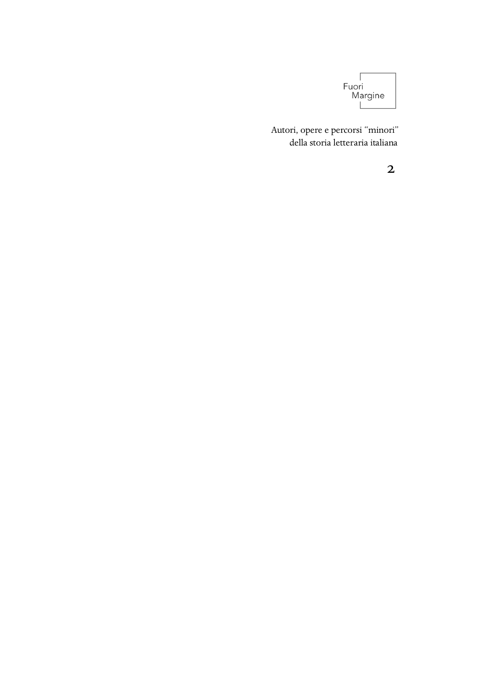Autori, opere e percorsi "minori" della storia letteraria italiana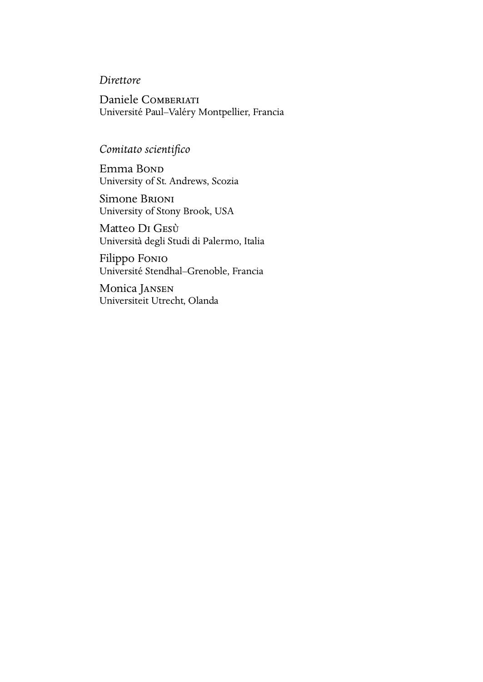#### *Direttore*

Daniele COMBERIATI Université Paul–Valéry Montpellier, Francia

### *Comitato scientifico*

Emma B University of St. Andrews, Scozia

Simone BRIONI University of Stony Brook, USA

Matteo DI GESÙ Università degli Studi di Palermo, Italia

Filippo F Université Stendhal–Grenoble, Francia

Monica JANSEN Universiteit Utrecht, Olanda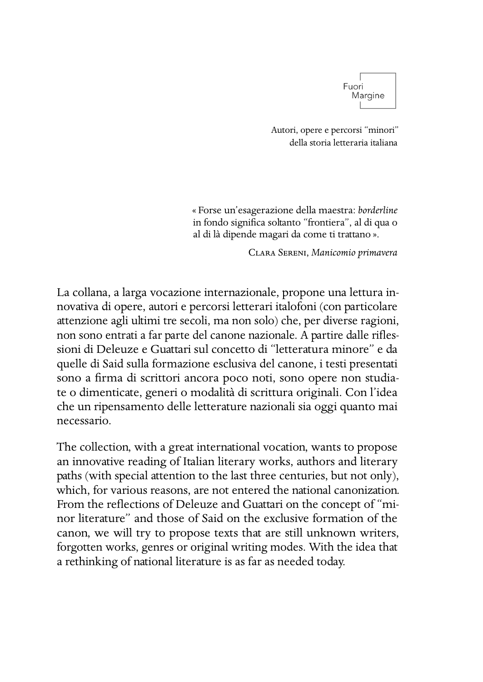

Autori, opere e percorsi "minori" della storia letteraria italiana

« Forse un'esagerazione della maestra: *borderline* in fondo significa soltanto "frontiera", al di qua o al di là dipende magari da come ti trattano ».

CLARA SERENI, Manicomio primavera

La collana, a larga vocazione internazionale, propone una lettura innovativa di opere, autori e percorsi letterari italofoni (con particolare attenzione agli ultimi tre secoli, ma non solo) che, per diverse ragioni, non sono entrati a far parte del canone nazionale. A partire dalle riflessioni di Deleuze e Guattari sul concetto di "letteratura minore" e da quelle di Said sulla formazione esclusiva del canone, i testi presentati sono a firma di scrittori ancora poco noti, sono opere non studiate o dimenticate, generi o modalità di scrittura originali. Con l'idea che un ripensamento delle letterature nazionali sia oggi quanto mai necessario.

The collection, with a great international vocation, wants to propose an innovative reading of Italian literary works, authors and literary paths (with special attention to the last three centuries, but not only), which, for various reasons, are not entered the national canonization. From the reflections of Deleuze and Guattari on the concept of "minor literature" and those of Said on the exclusive formation of the canon, we will try to propose texts that are still unknown writers, forgotten works, genres or original writing modes. With the idea that a rethinking of national literature is as far as needed today.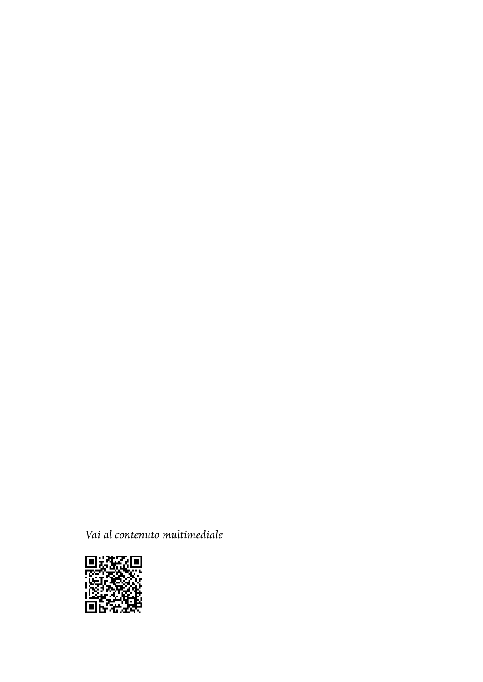*Vai al contenuto multimediale*

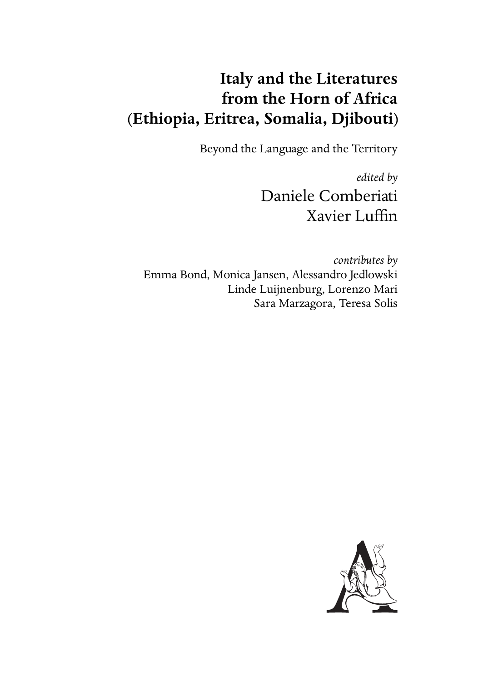# **Italy and the Literatures from the Horn of Africa (Ethiopia, Eritrea, Somalia, Djibouti)**

Beyond the Language and the Territory

*edited by* Daniele Comberiati Xavier Luffin

*contributes by* Emma Bond, Monica Jansen, Alessandro Jedlowski Linde Luijnenburg, Lorenzo Mari Sara Marzagora, Teresa Solis

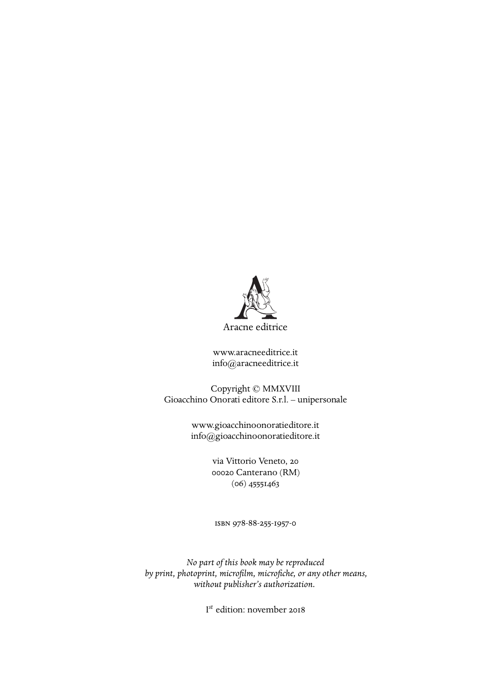

www.aracneeditrice.it info@aracneeditrice.it

Copyright © MMXVIII Gioacchino Onorati editore S.r.l. – unipersonale

> www.gioacchinoonoratieditore.it info@gioacchinoonoratieditore.it

> > via Vittorio Veneto, ooo2o Canterano (RM)  $(06)$  45551463

ISBN 978-88-255-1957-0

*No part of this book may be reproduced by print, photoprint, microfilm, microfiche, or any other means, without publisher's authorization.*

I *st* edition: november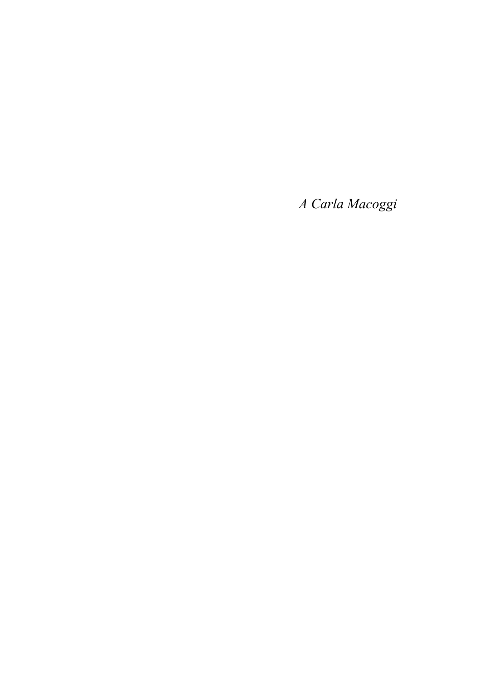*A Carla Macoggi*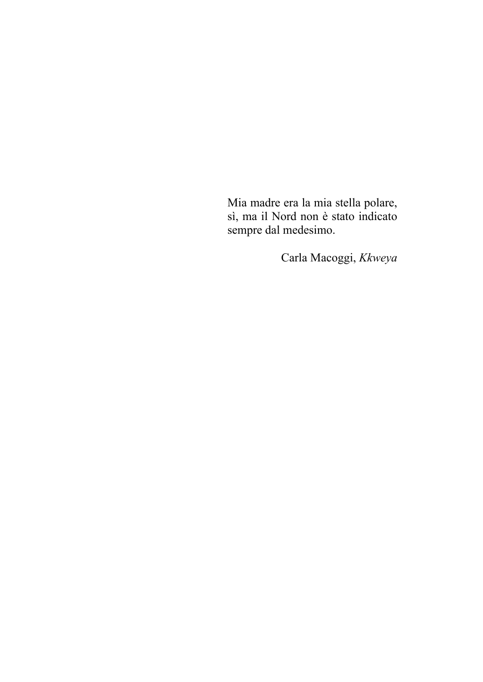Mia madre era la mia stella polare, sì, ma il Nord non è stato indicato sempre dal medesimo.

Carla Macoggi, *Kkweya*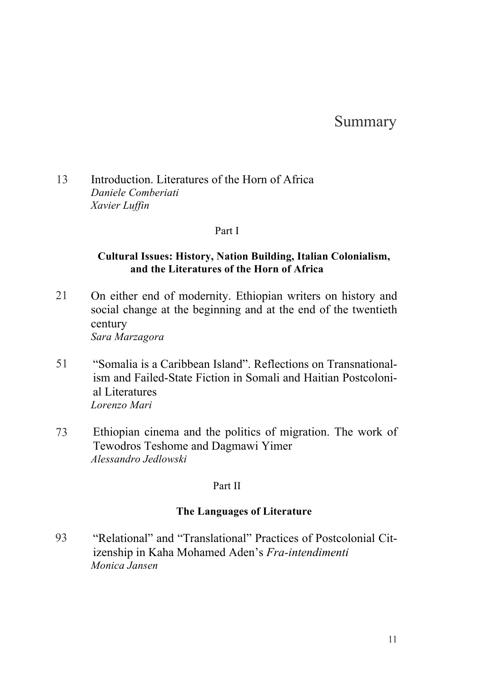## Summary

#### Introduction. Literatures of the Horn of Africa.  *Daniele Comberiati Xavier Luffin*  13

#### Part I

### **Cultural Issues: History, Nation Building, Italian Colonialism, and the Literatures of the Horn of Africa**

- 19On either end of modernity. Ethiopian writers on history and social change at the beginning and at the end of the twentieth century  *Sara Marzagora*  21
- "Somalia is a Caribbean Island". Reflections on Transnationalism and Failed-State Fiction in Somali and Haitian Postcolonial Literatures *Lorenzo Mari*  51
- Ethiopian cinema and the politics of migration. The work of Tewodros Teshome and Dagmawi Yimer *Alessandro Jedlowski*  73

#### Part II

#### **The Languages of Literature**

"Relational" and "Translational" Practices of Postcolonial Citizenship in Kaha Mohamed Aden's *Fra-intendimenti Monica Jansen*  93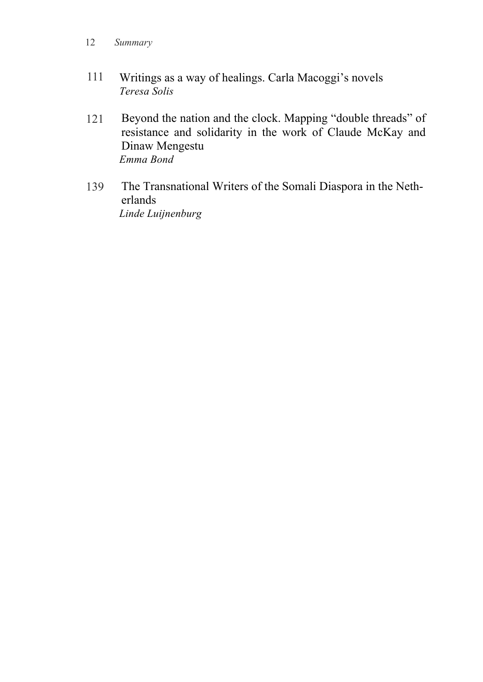- 12 *Summary*
- Writings as a way of healings. Carla Macoggi's novels *Teresa Solis*  111
- Beyond the nation and the clock. Mapping "double threads" of resistance and solidarity in the work of Claude McKay and Dinaw Mengestu *Emma Bond*  121
- The Transnational Writers of the Somali Diaspora in the Netherlands *Linde Luijnenburg*  139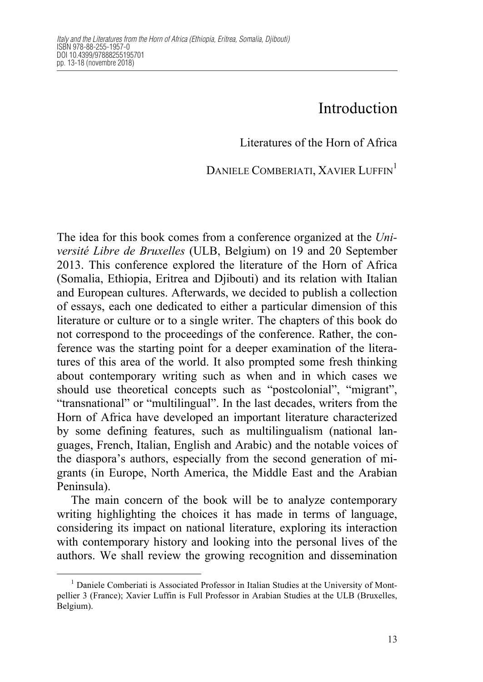# Introduction

### Literatures of the Horn of Africa

DANIELE COMBERIATI, XAVIER LUFFIN<sup>1</sup>

The idea for this book comes from a conference organized at the *Université Libre de Bruxelles* (ULB, Belgium) on 19 and 20 September 2013. This conference explored the literature of the Horn of Africa (Somalia, Ethiopia, Eritrea and Djibouti) and its relation with Italian and European cultures. Afterwards, we decided to publish a collection of essays, each one dedicated to either a particular dimension of this literature or culture or to a single writer. The chapters of this book do not correspond to the proceedings of the conference. Rather, the conference was the starting point for a deeper examination of the literatures of this area of the world. It also prompted some fresh thinking about contemporary writing such as when and in which cases we should use theoretical concepts such as "postcolonial", "migrant", "transnational" or "multilingual". In the last decades, writers from the Horn of Africa have developed an important literature characterized by some defining features, such as multilingualism (national languages, French, Italian, English and Arabic) and the notable voices of the diaspora's authors, especially from the second generation of migrants (in Europe, North America, the Middle East and the Arabian Peninsula).

The main concern of the book will be to analyze contemporary writing highlighting the choices it has made in terms of language, considering its impact on national literature, exploring its interaction with contemporary history and looking into the personal lives of the authors. We shall review the growing recognition and dissemination

 $<sup>1</sup>$  Daniele Comberiati is Associated Professor in Italian Studies at the University of Mont-</sup> pellier 3 (France); Xavier Luffin is Full Professor in Arabian Studies at the ULB (Bruxelles, Belgium).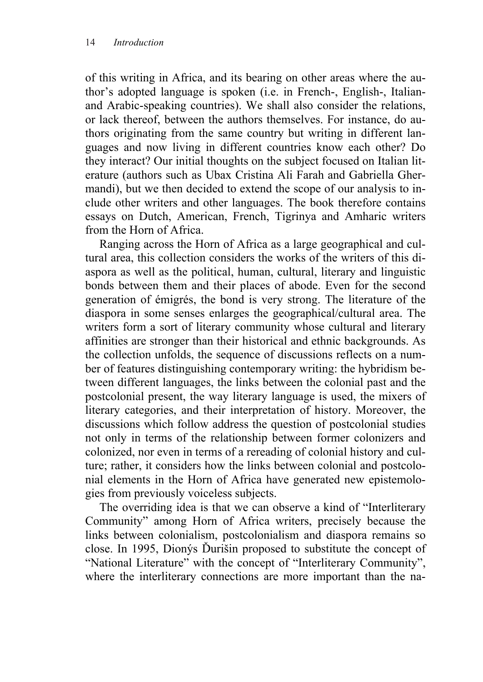of this writing in Africa, and its bearing on other areas where the author's adopted language is spoken (i.e. in French-, English-, Italianand Arabic-speaking countries). We shall also consider the relations, or lack thereof, between the authors themselves. For instance, do authors originating from the same country but writing in different languages and now living in different countries know each other? Do they interact? Our initial thoughts on the subject focused on Italian literature (authors such as Ubax Cristina Ali Farah and Gabriella Ghermandi), but we then decided to extend the scope of our analysis to include other writers and other languages. The book therefore contains essays on Dutch, American, French, Tigrinya and Amharic writers from the Horn of Africa.

Ranging across the Horn of Africa as a large geographical and cultural area, this collection considers the works of the writers of this diaspora as well as the political, human, cultural, literary and linguistic bonds between them and their places of abode. Even for the second generation of émigrés, the bond is very strong. The literature of the diaspora in some senses enlarges the geographical/cultural area. The writers form a sort of literary community whose cultural and literary affinities are stronger than their historical and ethnic backgrounds. As the collection unfolds, the sequence of discussions reflects on a number of features distinguishing contemporary writing: the hybridism between different languages, the links between the colonial past and the postcolonial present, the way literary language is used, the mixers of literary categories, and their interpretation of history. Moreover, the discussions which follow address the question of postcolonial studies not only in terms of the relationship between former colonizers and colonized, nor even in terms of a rereading of colonial history and culture; rather, it considers how the links between colonial and postcolonial elements in the Horn of Africa have generated new epistemologies from previously voiceless subjects.

The overriding idea is that we can observe a kind of "Interliterary Community" among Horn of Africa writers, precisely because the links between colonialism, postcolonialism and diaspora remains so close. In 1995, Dionýs Ďurišin proposed to substitute the concept of "National Literature" with the concept of "Interliterary Community", where the interliterary connections are more important than the na-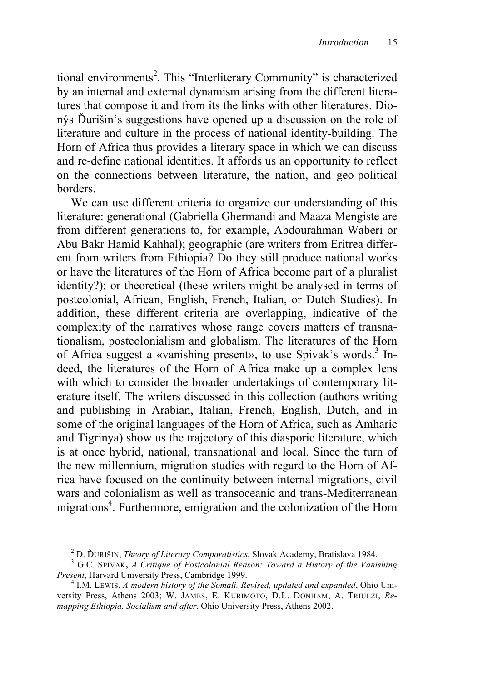tional environments<sup>2</sup>. This "Interliterary Community" is characterized by an internal and external dynamism arising from the different literatures that compose it and from its the links with other literatures. Dionýs Ďurišin's suggestions have opened up a discussion on the role of literature and culture in the process of national identity-building. The Horn of Africa thus provides a literary space in which we can discuss and re-define national identities. It affords us an opportunity to reflect on the connections between literature, the nation, and geo-political borders.

We can use different criteria to organize our understanding of this literature: generational (Gabriella Ghermandi and Maaza Mengiste are from different generations to, for example, Abdourahman Waberi or Abu Bakr Hamid Kahhal); geographic (are writers from Eritrea different from writers from Ethiopia? Do they still produce national works or have the literatures of the Horn of Africa become part of a pluralist identity?); or theoretical (these writers might be analysed in terms of postcolonial, African, English, French, Italian, or Dutch Studies). In addition, these different criteria are overlapping, indicative of the complexity of the narratives whose range covers matters of transnationalism, postcolonialism and globalism. The literatures of the Horn of Africa suggest a «vanishing present», to use Spivak's words.<sup>3</sup> Indeed, the literatures of the Horn of Africa make up a complex lens with which to consider the broader undertakings of contemporary literature itself. The writers discussed in this collection (authors writing and publishing in Arabian, Italian, French, English, Dutch, and in some of the original languages of the Horn of Africa, such as Amharic and Tigrinya) show us the trajectory of this diasporic literature, which is at once hybrid, national, transnational and local. Since the turn of the new millennium, migration studies with regard to the Horn of Africa have focused on the continuity between internal migrations, civil wars and colonialism as well as transoceanic and trans-Mediterranean migrations<sup>4</sup>. Furthermore, emigration and the colonization of the Horn

<sup>&</sup>lt;sup>2</sup> D. ĎURIŠIN, *Theory of Literary Comparatistics*, Slovak Academy, Bratislava 1984.<br><sup>3</sup> G.C. SPIVAK, *A Critique of Postcolonial Reason: Toward a History of the Vanishing Present. Harvard University Press. Cambridge 1999* 

<sup>&</sup>lt;sup>4</sup> I.M. LEWIS, *A modern history of the Somali. Revised, updated and expanded, Ohio Uni*versity Press, Athens 2003; W. JAMES, E. KURIMOTO, D.L. DONHAM, A. TRIULZI, *Remapping Ethiopia. Socialism and after*, Ohio University Press, Athens 2002.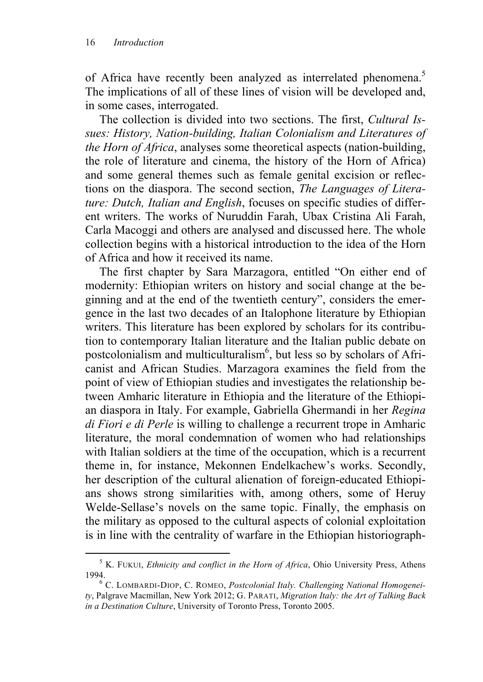of Africa have recently been analyzed as interrelated phenomena.<sup>5</sup> The implications of all of these lines of vision will be developed and, in some cases, interrogated.

The collection is divided into two sections. The first, *Cultural Issues: History, Nation-building, Italian Colonialism and Literatures of the Horn of Africa*, analyses some theoretical aspects (nation-building, the role of literature and cinema, the history of the Horn of Africa) and some general themes such as female genital excision or reflections on the diaspora. The second section, *The Languages of Literature: Dutch, Italian and English*, focuses on specific studies of different writers. The works of Nuruddin Farah, Ubax Cristina Ali Farah, Carla Macoggi and others are analysed and discussed here. The whole collection begins with a historical introduction to the idea of the Horn of Africa and how it received its name.

The first chapter by Sara Marzagora, entitled "On either end of modernity: Ethiopian writers on history and social change at the beginning and at the end of the twentieth century", considers the emergence in the last two decades of an Italophone literature by Ethiopian writers. This literature has been explored by scholars for its contribution to contemporary Italian literature and the Italian public debate on postcolonialism and multiculturalism<sup>6</sup>, but less so by scholars of Africanist and African Studies. Marzagora examines the field from the point of view of Ethiopian studies and investigates the relationship between Amharic literature in Ethiopia and the literature of the Ethiopian diaspora in Italy. For example, Gabriella Ghermandi in her *Regina di Fiori e di Perle* is willing to challenge a recurrent trope in Amharic literature, the moral condemnation of women who had relationships with Italian soldiers at the time of the occupation, which is a recurrent theme in, for instance, Mekonnen Endelkachew's works. Secondly, her description of the cultural alienation of foreign-educated Ethiopians shows strong similarities with, among others, some of Heruy Welde-Sellase's novels on the same topic. Finally, the emphasis on the military as opposed to the cultural aspects of colonial exploitation is in line with the centrality of warfare in the Ethiopian historiograph-

 <sup>5</sup> K. FUKUI, *Ethnicity and conflict in the Horn of Africa*, Ohio University Press, Athens 1994.

<sup>6</sup> C. LOMBARDI-DIOP, C. ROMEO, *Postcolonial Italy. Challenging National Homogeneity*, Palgrave Macmillan, New York 2012; G. PARATI, *Migration Italy: the Art of Talking Back in a Destination Culture*, University of Toronto Press, Toronto 2005.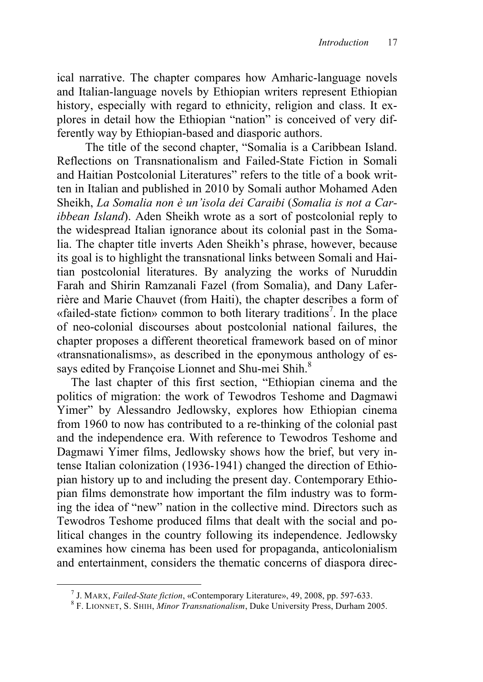ical narrative. The chapter compares how Amharic-language novels and Italian-language novels by Ethiopian writers represent Ethiopian history, especially with regard to ethnicity, religion and class. It explores in detail how the Ethiopian "nation" is conceived of very differently way by Ethiopian-based and diasporic authors.

The title of the second chapter, "Somalia is a Caribbean Island. Reflections on Transnationalism and Failed-State Fiction in Somali and Haitian Postcolonial Literatures" refers to the title of a book written in Italian and published in 2010 by Somali author Mohamed Aden Sheikh, *La Somalia non è un'isola dei Caraibi* (*Somalia is not a Caribbean Island*). Aden Sheikh wrote as a sort of postcolonial reply to the widespread Italian ignorance about its colonial past in the Somalia. The chapter title inverts Aden Sheikh's phrase, however, because its goal is to highlight the transnational links between Somali and Haitian postcolonial literatures. By analyzing the works of Nuruddin Farah and Shirin Ramzanali Fazel (from Somalia), and Dany Laferrière and Marie Chauvet (from Haiti), the chapter describes a form of «failed-state fiction» common to both literary traditions<sup>7</sup>. In the place of neo-colonial discourses about postcolonial national failures, the chapter proposes a different theoretical framework based on of minor «transnationalisms», as described in the eponymous anthology of essays edited by Françoise Lionnet and Shu-mei Shih.<sup>8</sup>

The last chapter of this first section, "Ethiopian cinema and the politics of migration: the work of Tewodros Teshome and Dagmawi Yimer" by Alessandro Jedlowsky, explores how Ethiopian cinema from 1960 to now has contributed to a re-thinking of the colonial past and the independence era. With reference to Tewodros Teshome and Dagmawi Yimer films, Jedlowsky shows how the brief, but very intense Italian colonization (1936-1941) changed the direction of Ethiopian history up to and including the present day. Contemporary Ethiopian films demonstrate how important the film industry was to forming the idea of "new" nation in the collective mind. Directors such as Tewodros Teshome produced films that dealt with the social and political changes in the country following its independence. Jedlowsky examines how cinema has been used for propaganda, anticolonialism and entertainment, considers the thematic concerns of diaspora direc-

<sup>7</sup> J. MARX, *Failed-State fiction*, «Contemporary Literature», 49, 2008, pp. 597-633. 8 F. LIONNET, S. SHIH, *Minor Transnationalism*, Duke University Press, Durham 2005.